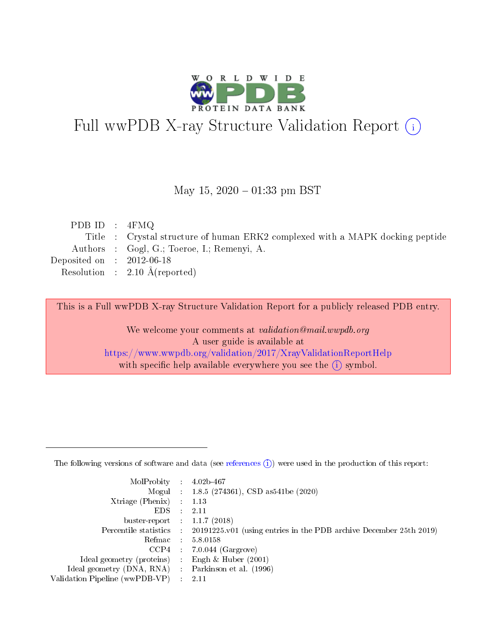

# Full wwPDB X-ray Structure Validation Report (i)

#### May 15,  $2020 - 01:33$  pm BST

| PDB ID : $4FMQ$             |                                                                               |
|-----------------------------|-------------------------------------------------------------------------------|
|                             | Title : Crystal structure of human ERK2 complexed with a MAPK docking peptide |
|                             | Authors : Gogl, G.; Toeroe, I.; Remenyi, A.                                   |
| Deposited on : $2012-06-18$ |                                                                               |
|                             | Resolution : $2.10 \text{ Å}$ (reported)                                      |
|                             |                                                                               |

This is a Full wwPDB X-ray Structure Validation Report for a publicly released PDB entry.

We welcome your comments at validation@mail.wwpdb.org A user guide is available at <https://www.wwpdb.org/validation/2017/XrayValidationReportHelp> with specific help available everywhere you see the  $(i)$  symbol.

The following versions of software and data (see [references](https://www.wwpdb.org/validation/2017/XrayValidationReportHelp#references)  $(1)$ ) were used in the production of this report:

| MolProbity :                   |               | $4.02b - 467$                                                               |
|--------------------------------|---------------|-----------------------------------------------------------------------------|
|                                |               | Mogul : $1.8.5$ (274361), CSD as 541be (2020)                               |
| $X$ triage (Phenix) :          |               | 1.13                                                                        |
| EDS.                           |               | 2.11                                                                        |
| buster-report : $1.1.7$ (2018) |               |                                                                             |
| Percentile statistics :        |               | $20191225 \text{v}01$ (using entries in the PDB archive December 25th 2019) |
| Refmac :                       |               | 5.8.0158                                                                    |
| $CCP4$ :                       |               | $7.0.044$ (Gargrove)                                                        |
| Ideal geometry (proteins) :    |               | Engh $\&$ Huber (2001)                                                      |
| Ideal geometry (DNA, RNA) :    |               | Parkinson et al. (1996)                                                     |
| Validation Pipeline (wwPDB-VP) | $\mathcal{L}$ | 2.11                                                                        |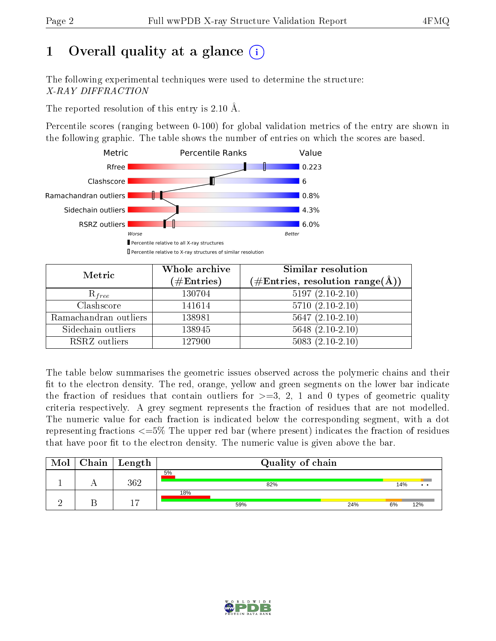# 1 [O](https://www.wwpdb.org/validation/2017/XrayValidationReportHelp#overall_quality)verall quality at a glance  $(i)$

The following experimental techniques were used to determine the structure: X-RAY DIFFRACTION

The reported resolution of this entry is 2.10 Å.

Percentile scores (ranging between 0-100) for global validation metrics of the entry are shown in the following graphic. The table shows the number of entries on which the scores are based.



| Metric                | Whole archive        | Similar resolution                                                     |
|-----------------------|----------------------|------------------------------------------------------------------------|
|                       | $(\#\text{Entries})$ | $(\#\text{Entries},\, \text{resolution}\; \text{range}(\textup{\AA}))$ |
| $R_{free}$            | 130704               | $5197(2.10-2.10)$                                                      |
| Clashscore            | 141614               | $5710(2.10-2.10)$                                                      |
| Ramachandran outliers | 138981               | $5647(2.10-2.10)$                                                      |
| Sidechain outliers    | 138945               | $5648$ $(2.10-2.10)$                                                   |
| RSRZ outliers         | 127900               | $5083(2.10-2.10)$                                                      |

The table below summarises the geometric issues observed across the polymeric chains and their fit to the electron density. The red, orange, yellow and green segments on the lower bar indicate the fraction of residues that contain outliers for  $>=3, 2, 1$  and 0 types of geometric quality criteria respectively. A grey segment represents the fraction of residues that are not modelled. The numeric value for each fraction is indicated below the corresponding segment, with a dot representing fractions  $\epsilon=5\%$  The upper red bar (where present) indicates the fraction of residues that have poor fit to the electron density. The numeric value is given above the bar.

| Mol | ${\rm Chain \mid Length}$ | Quality of chain |     |     |                       |  |  |
|-----|---------------------------|------------------|-----|-----|-----------------------|--|--|
|     | $362\,$                   | 5%<br>82%        |     | 14% | $\bullet\quad\bullet$ |  |  |
|     |                           | 18%<br>59%       | 24% | 6%  | 12%                   |  |  |

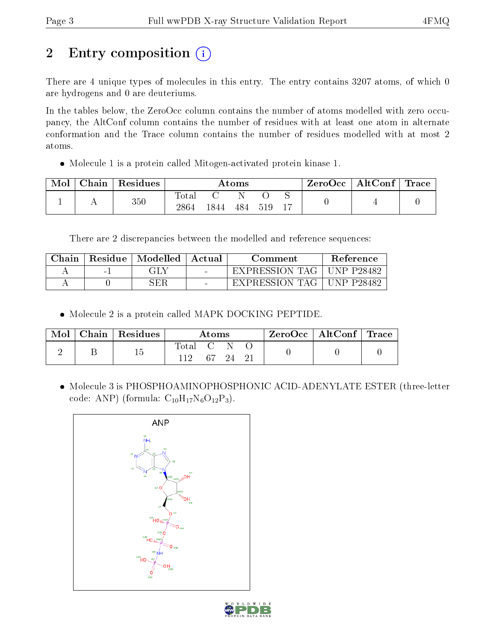# 2 Entry composition (i)

There are 4 unique types of molecules in this entry. The entry contains 3207 atoms, of which 0 are hydrogens and 0 are deuteriums.

In the tables below, the ZeroOcc column contains the number of atoms modelled with zero occupancy, the AltConf column contains the number of residues with at least one atom in alternate conformation and the Trace column contains the number of residues modelled with at most 2 atoms.

Molecule 1 is a protein called Mitogen-activated protein kinase 1.

| Mol | Chain | Residues | $\rm{Atoms}$        |      |     |     | ZeroOcc | $\mid$ AltConf $\mid$ Trace |  |  |
|-----|-------|----------|---------------------|------|-----|-----|---------|-----------------------------|--|--|
|     |       | 350      | $\rm Total$<br>2864 | 1844 | 484 | 519 | 17      |                             |  |  |

There are 2 discrepancies between the modelled and reference sequences:

| Chain |      | Residue   Modelled | Actual | Comment                     | <b>Reference</b> |
|-------|------|--------------------|--------|-----------------------------|------------------|
|       | $-1$ | GLY                |        | EXPRESSION TAG   UNP P28482 |                  |
|       |      | 3ER                | $\sim$ | EXPRESSION TAG              | UNP P28482       |

Molecule 2 is a protein called MAPK DOCKING PEPTIDE.

| Mol | $\vert$ Chain $\vert$ Residues | Atoms             |          |  | $\text{ZeroOcc} \mid \text{AltConf} \mid \text{Trace}$ |  |
|-----|--------------------------------|-------------------|----------|--|--------------------------------------------------------|--|
|     |                                | Total C N<br>112. | 67 24 21 |  |                                                        |  |

 Molecule 3 is PHOSPHOAMINOPHOSPHONIC ACID-ADENYLATE ESTER (three-letter code: ANP) (formula:  $C_{10}H_{17}N_6O_{12}P_3$ ).



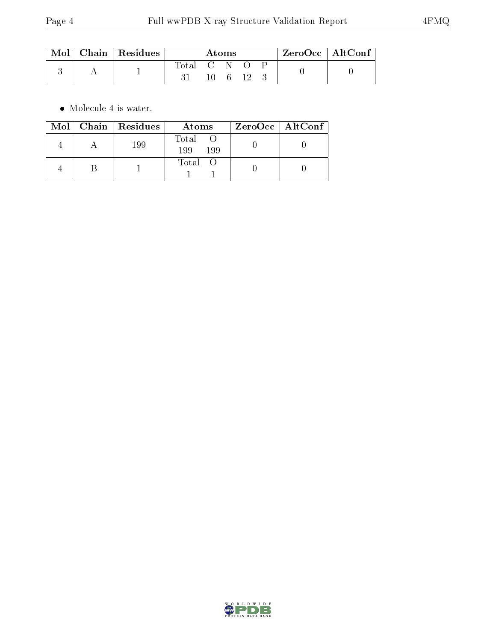| $\lceil \text{Mol} \rceil$ | $\vert$ Chain $\vert$ Residues | Atoms       |      |          |  |  | $ZeroOcc$   AltConf |  |
|----------------------------|--------------------------------|-------------|------|----------|--|--|---------------------|--|
|                            |                                | Total C N O | 10 - | - 6 - 12 |  |  |                     |  |

 $\bullet\,$  Molecule 4 is water.

|  | Mol   Chain   Residues | Atoms               | ZeroOcc   AltConf |
|--|------------------------|---------------------|-------------------|
|  | 199                    | Total<br>199<br>199 |                   |
|  |                        | Total               |                   |

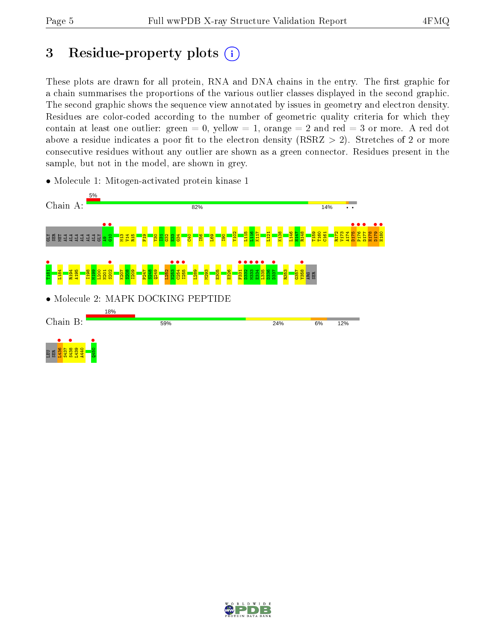# 3 Residue-property plots  $(i)$

These plots are drawn for all protein, RNA and DNA chains in the entry. The first graphic for a chain summarises the proportions of the various outlier classes displayed in the second graphic. The second graphic shows the sequence view annotated by issues in geometry and electron density. Residues are color-coded according to the number of geometric quality criteria for which they contain at least one outlier: green  $= 0$ , yellow  $= 1$ , orange  $= 2$  and red  $= 3$  or more. A red dot above a residue indicates a poor fit to the electron density (RSRZ  $> 2$ ). Stretches of 2 or more consecutive residues without any outlier are shown as a green connector. Residues present in the sample, but not in the model, are shown in grey.

• Molecule 1: Mitogen-activated protein kinase 1



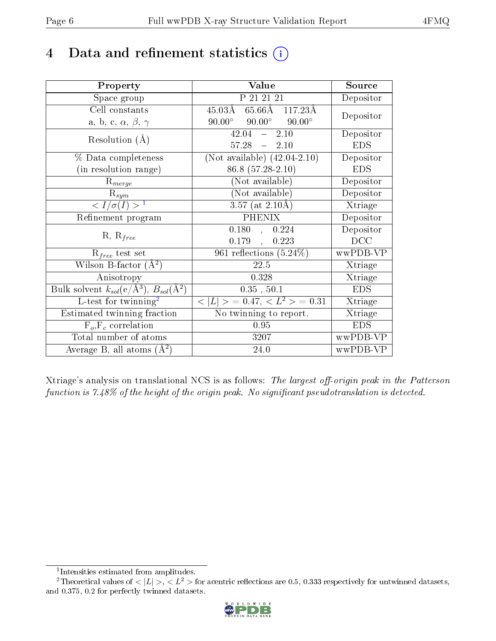# 4 Data and refinement statistics  $(i)$

| Property                                                             | Value                                            | Source                       |
|----------------------------------------------------------------------|--------------------------------------------------|------------------------------|
| Space group                                                          | P 21 21 21                                       | Depositor                    |
| Cell constants                                                       | $45.03\AA$ 65.66 $\AA$ 117.23 $\AA$              | Depositor                    |
| a, b, c, $\alpha$ , $\beta$ , $\gamma$                               | $90.00^{\circ}$ $90.00^{\circ}$<br>$90.00^\circ$ |                              |
| Resolution $(A)$                                                     | $-2.10$<br>42.04                                 | Depositor                    |
|                                                                      | $-2.10$<br>57.28                                 | <b>EDS</b>                   |
| % Data completeness                                                  | (Not available) $(42.04-2.10)$                   | Depositor                    |
| (in resolution range)                                                | 86.8 (57.28-2.10)                                | <b>EDS</b>                   |
| $R_{merge}$                                                          | (Not available)                                  | Depositor                    |
| $R_{sym}$                                                            | $(Not\ avariable)$                               | Depositor                    |
| $\langle I/\sigma(I) \rangle^{-1}$                                   | $3.57$ (at $2.10\text{\AA}$ )                    | Xtriage                      |
| Refinement program                                                   | <b>PHENIX</b>                                    | Depositor                    |
|                                                                      | 0.180, 0.224                                     | Depositor                    |
| $R, R_{free}$                                                        | 0.179,<br>0.223                                  | DCC                          |
| $R_{free}$ test set                                                  | 961 reflections $(5.24\%)$                       | wwPDB-VP                     |
| Wilson B-factor $(A^2)$                                              | 22.5                                             | Xtriage                      |
| Anisotropy                                                           | 0.328                                            | Xtriage                      |
| Bulk solvent $k_{sol}(e/\mathring{A}^3)$ , $B_{sol}(\mathring{A}^2)$ | 0.35, 50.1                                       | <b>EDS</b>                   |
| L-test for twinning <sup>2</sup>                                     | $< L >$ = 0.47, $< L2 >$ = 0.31                  | Xtriage                      |
| Estimated twinning fraction                                          | No twinning to report.                           | $\overline{\text{X}}$ triage |
| $\overline{F_o}, \overline{F_c}$ correlation                         | 0.95                                             | <b>EDS</b>                   |
| Total number of atoms                                                | 3207                                             | wwPDB-VP                     |
| Average B, all atoms $(A^2)$                                         | 24.0                                             | wwPDB-VP                     |

Xtriage's analysis on translational NCS is as follows: The largest off-origin peak in the Patterson function is  $7.48\%$  of the height of the origin peak. No significant pseudotranslation is detected.

<sup>&</sup>lt;sup>2</sup>Theoretical values of  $\langle |L| \rangle$ ,  $\langle L^2 \rangle$  for acentric reflections are 0.5, 0.333 respectively for untwinned datasets, and 0.375, 0.2 for perfectly twinned datasets.



<span id="page-5-1"></span><span id="page-5-0"></span><sup>1</sup> Intensities estimated from amplitudes.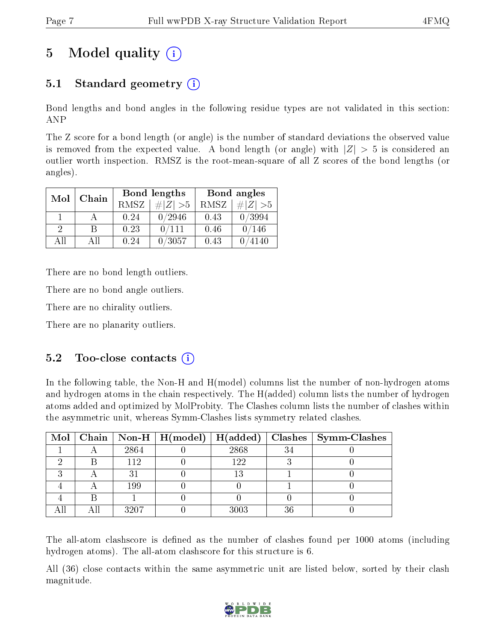# 5 Model quality  $(i)$

## 5.1 Standard geometry  $(i)$

Bond lengths and bond angles in the following residue types are not validated in this section: ANP

The Z score for a bond length (or angle) is the number of standard deviations the observed value is removed from the expected value. A bond length (or angle) with  $|Z| > 5$  is considered an outlier worth inspection. RMSZ is the root-mean-square of all Z scores of the bond lengths (or angles).

| Mol | Chain |      | Bond lengths | Bond angles |             |  |
|-----|-------|------|--------------|-------------|-------------|--|
|     |       | RMSZ | $\# Z  > 5$  | RMSZ        | $\ Z\  > 5$ |  |
|     |       | 0.24 | 0/2946       | 0.43        | 0/3994      |  |
| 9   |       | 0.23 | 0/111        | 0.46        | 0/146       |  |
| ΔH  | A 11  | 0.24 | /3057        | 0.43        | 4140        |  |

There are no bond length outliers.

There are no bond angle outliers.

There are no chirality outliers.

There are no planarity outliers.

### $5.2$  Too-close contacts  $(i)$

In the following table, the Non-H and H(model) columns list the number of non-hydrogen atoms and hydrogen atoms in the chain respectively. The H(added) column lists the number of hydrogen atoms added and optimized by MolProbity. The Clashes column lists the number of clashes within the asymmetric unit, whereas Symm-Clashes lists symmetry related clashes.

|  |             |      |    | Mol   Chain   Non-H   H(model)   H(added)   Clashes   Symm-Clashes |
|--|-------------|------|----|--------------------------------------------------------------------|
|  | 2864        | 2868 | 34 |                                                                    |
|  | 112         | 122  |    |                                                                    |
|  | $3^{\circ}$ | 13   |    |                                                                    |
|  | 199         |      |    |                                                                    |
|  |             |      |    |                                                                    |
|  | 3207        | 3003 | 36 |                                                                    |

The all-atom clashscore is defined as the number of clashes found per 1000 atoms (including hydrogen atoms). The all-atom clashscore for this structure is 6.

All (36) close contacts within the same asymmetric unit are listed below, sorted by their clash magnitude.

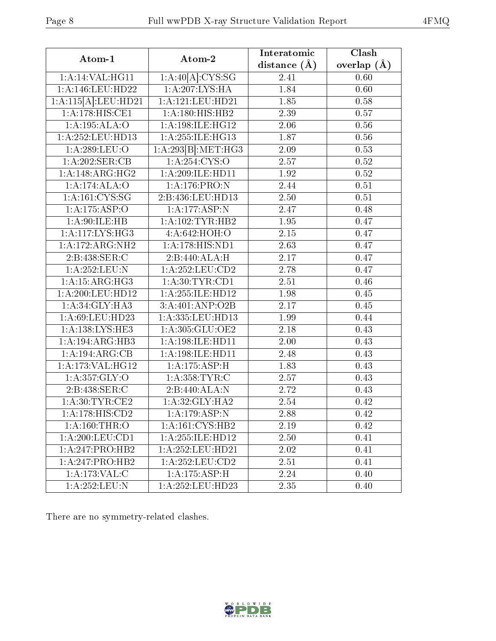| Atom-1                       | Atom-2                               | Interatomic    | Clash         |
|------------------------------|--------------------------------------|----------------|---------------|
|                              |                                      | distance $(A)$ | overlap $(A)$ |
| 1:A:14:VAL:HG11              | $1:A:40[\overline{A}]\text{:}CYS:SG$ | 2.41           | 0.60          |
| 1:A:146:LEU:HD22             | 1:A:207:LYS:HA                       | 1.84           | 0.60          |
| 1:A:115[A]:LEU:HD21          | 1:A:121:LEU:HD21                     | 1.85           | 0.58          |
| 1:A:178:HIS:CE1              | 1:A:180:HIS:HB2                      | 2.39           | 0.57          |
| 1:A:195:ALA:O                | 1: A:198: ILE: HG12                  | 2.06           | 0.56          |
| 1:A:252:LEU:HD13             | 1:A:255:ILE:HG13                     | 1.87           | 0.56          |
| 1:A:289:LEU:O                | 1:A:293[B]:MET:HG3                   | $2.09\,$       | 0.53          |
| 1:A:202:SER:CB               | 1: A:254: CYS:O                      | 2.57           | 0.52          |
| $1:A:148:AR\overline{G:HG2}$ | 1:A:209:ILE:HD11                     | 1.92           | 0.52          |
| 1:A:174:ALA:O                | 1:A:176:PRO:N                        | 2.44           | 0.51          |
| 1: A: 161: CYS: SG           | 2:B:436:LEU:HD13                     | 2.50           | 0.51          |
| 1:A:175:ASP:O                | 1: A:177: ASP:N                      | 2.47           | 0.48          |
| 1: A:90: ILE: HB             | 1:A:102:TYR:HB2                      | 1.95           | 0.47          |
| 1: A: 117: LYS: HG3          | 4: A:642: HOH:O                      | 2.15           | 0.47          |
| 1:A:172:ARG:NH2              | 1:A:178:HIS:ND1                      | 2.63           | 0.47          |
| 2:B:438:SER:C                | 2:B:440:ALA:H                        | 2.17           | 0.47          |
| 1:A:252:LEU:N                | 1: A:252:LEU:CD2                     | 2.78           | 0.47          |
| $1:A:15:A\overline{RG:HG3}$  | 1: A:30: TYR:CD1                     | 2.51           | 0.46          |
| 1:A:200:LEU:HD12             | 1:A:255:ILE:HD12                     | 1.98           | 0.45          |
| 1:A:34:GLY:HA3               | 3:A:401:ANP:O2B                      | 2.17           | 0.45          |
| 1:A:69:LEU:HD23              | 1:A:335:LEU:HD13                     | 1.99           | 0.44          |
| 1:A:138:LYS:HE3              | 1: A: 305: GLU: OE2                  | 2.18           | 0.43          |
| 1:A:194:ARG:HB3              | 1:A:198:ILE:HD11                     | 2.00           | 0.43          |
| 1:A:194:ARG:CB               | 1:A:198:ILE:HD11                     | 2.48           | 0.43          |
| 1:A:173:VAL:HG12             | 1:A:175:ASP:H                        | 1.83           | 0.43          |
| 1: A: 357: GLY: O            | 1: A:358:TYR:C                       | 2.57           | 0.43          |
| 2:B:438:SER:C                | 2:B:440:ALA:N                        | 2.72           | 0.43          |
| 1: A:30: TYR: CE2            | 1: A:32: GLY:HA2                     | 2.54           | 0.42          |
| 1:A:178:HIS:CD2              | 1:A:179:ASP:N                        | 2.88           | 0.42          |
| $1:$ A:160:THR:O             | 1: A:161: CYS:HB2                    | 2.19           | 0.42          |
| 1: A:200:LEU:CD1             | 1:A:255:ILE:HD12                     | 2.50           | 0.41          |
| 1:A:247:PRO:HB2              | $1:A:252:LEU:H\overline{D21}$        | 2.02           | 0.41          |
| 1:A:247:PRO:HB2              | 1: A:252:LEU:CD2                     | 2.51           | 0.41          |
| 1:A:173:VAL:C                | 1:A:175:ASP:H                        | 2.24           | 0.40          |
| 1:A:252:LEU:N                | 1:A:252:LEU:HD23                     | 2.35           | 0.40          |

There are no symmetry-related clashes.

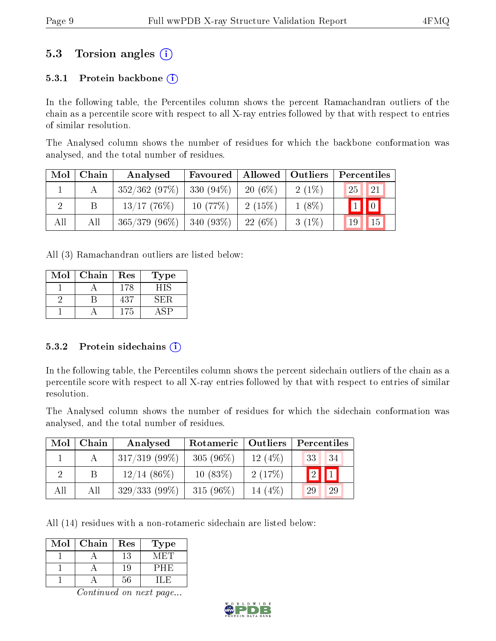## 5.3 Torsion angles (i)

#### 5.3.1 Protein backbone  $(i)$

In the following table, the Percentiles column shows the percent Ramachandran outliers of the chain as a percentile score with respect to all X-ray entries followed by that with respect to entries of similar resolution.

The Analysed column shows the number of residues for which the backbone conformation was analysed, and the total number of residues.

| Mol | Chain | Analysed        | Favoured    | Allowed   | <b>Outliers</b> | Percentiles             |
|-----|-------|-----------------|-------------|-----------|-----------------|-------------------------|
|     |       | 352/362(97%)    | $330(94\%)$ | $20(6\%)$ | $2(1\%)$        | 25<br><sup>21</sup>     |
|     | Β     | $13/17$ (76\%)  | 10(77%)     | 2(15%)    | $1(8\%)$        | $\boxed{1}$ $\boxed{0}$ |
| All | All   | $365/379(96\%)$ | $340(93\%)$ | 22(6%)    | $3(1\%)$        | 15<br>19                |

All (3) Ramachandran outliers are listed below:

| Mol | Chain | Res | Type  |
|-----|-------|-----|-------|
|     |       | 178 | 4 I S |
|     |       | 437 | ŃН.   |
|     |       | 175 |       |

#### 5.3.2 Protein sidechains  $(i)$

In the following table, the Percentiles column shows the percent sidechain outliers of the chain as a percentile score with respect to all X-ray entries followed by that with respect to entries of similar resolution.

The Analysed column shows the number of residues for which the sidechain conformation was analysed, and the total number of residues.

| Mol | Chain | Analysed        | Rotameric<br>Outliers |          | Percentiles |  |  |
|-----|-------|-----------------|-----------------------|----------|-------------|--|--|
|     |       | $317/319(99\%)$ | 305 $(96\%)$          | 12(4%)   | 34<br>33    |  |  |
| 9   |       | $12/14$ (86\%)  | $10(83\%)$            | 2(17%)   | "2"         |  |  |
| All | All   | $329/333(99\%)$ | 315 $(96\%)$          | 14 (4\%) | 29<br>29    |  |  |

All (14) residues with a non-rotameric sidechain are listed below:

| Mol | Chain | Res | Type  |
|-----|-------|-----|-------|
|     |       | 13  | \/I H |
|     |       | у.  | PHH   |
|     |       |     | ⊑ LH  |

Continued on next page...

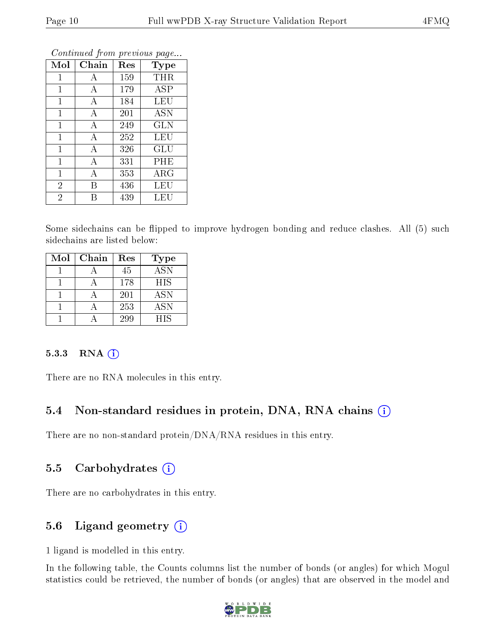| Mol            | Chain | Res | <b>Type</b> |
|----------------|-------|-----|-------------|
| 1              | А     | 159 | THR         |
| 1              | А     | 179 | <b>ASP</b>  |
| $\mathbf{1}$   | А     | 184 | LEU         |
| $\overline{1}$ | А     | 201 | ASN         |
| 1              | А     | 249 | <b>GLN</b>  |
| 1              | А     | 252 | LEU         |
| $\mathbf{1}$   | A     | 326 | GLU         |
| $\mathbf{1}$   | A     | 331 | PHE         |
| $\mathbf{1}$   | А     | 353 | ARG         |
| $\overline{2}$ | B     | 436 | LEU         |
| $\overline{2}$ | R     | 439 | LEU         |

Continued from previous page...

Some sidechains can be flipped to improve hydrogen bonding and reduce clashes. All (5) such sidechains are listed below:

| Mol | Chain | Res | Type             |
|-----|-------|-----|------------------|
|     |       | 45  | $\overline{ASN}$ |
|     |       | 178 | <b>HIS</b>       |
|     |       | 201 | <b>ASN</b>       |
|     |       | 253 | <b>ASN</b>       |
|     |       | 299 | <b>HIS</b>       |

#### $5.3.3$  RNA  $(i)$

There are no RNA molecules in this entry.

### 5.4 Non-standard residues in protein, DNA, RNA chains (i)

There are no non-standard protein/DNA/RNA residues in this entry.

### 5.5 Carbohydrates  $(i)$

There are no carbohydrates in this entry.

### 5.6 Ligand geometry (i)

1 ligand is modelled in this entry.

In the following table, the Counts columns list the number of bonds (or angles) for which Mogul statistics could be retrieved, the number of bonds (or angles) that are observed in the model and

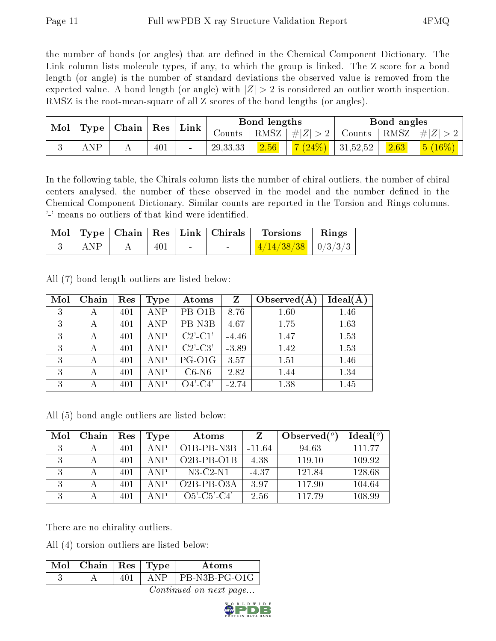the number of bonds (or angles) that are defined in the Chemical Component Dictionary. The Link column lists molecule types, if any, to which the group is linked. The Z score for a bond length (or angle) is the number of standard deviations the observed value is removed from the expected value. A bond length (or angle) with  $|Z| > 2$  is considered an outlier worth inspection. RMSZ is the root-mean-square of all Z scores of the bond lengths (or angles).

| Mol |            | $\mid$ Type $\mid$ Chain $\mid$ Res $\mid$ |     | Link |            | Bond lengths |                             |               | Bond angles |                |
|-----|------------|--------------------------------------------|-----|------|------------|--------------|-----------------------------|---------------|-------------|----------------|
|     |            |                                            |     |      | Counts     | RMSZ         | #Z  > 2                     | Counts   RMSZ |             | $\# Z $        |
|     | <b>ANP</b> | . .                                        | 401 |      | 29, 33, 33 | 2.56         | $\frac{7(24\%)}{131,52,52}$ |               | 2.63        | $(16\%)$<br>5( |

In the following table, the Chirals column lists the number of chiral outliers, the number of chiral centers analysed, the number of these observed in the model and the number defined in the Chemical Component Dictionary. Similar counts are reported in the Torsion and Rings columns. '-' means no outliers of that kind were identified.

|                 |     |        | Mol   Type   Chain   Res   Link   Chirals | <b>Torsions</b>        | Rings |
|-----------------|-----|--------|-------------------------------------------|------------------------|-------|
| $\parallel$ ANP | 401 | $\sim$ |                                           | $4/14/38/38$   0/3/3/3 |       |

All (7) bond length outliers are listed below:

| Mol | Chain | Res | Type       | Atoms         | $Z_{\rm}$ | Observed $(A)$ | $Ideal(\AA)$ |
|-----|-------|-----|------------|---------------|-----------|----------------|--------------|
| 3   | А     | 401 | <b>ANP</b> | PB-O1B        | 8.76      | 1.60           | 1.46         |
| 3   | А     | 401 | <b>ANP</b> | PB-N3B        | 4.67      | 1.75           | 1.63         |
| 3   |       | 401 | <b>ANP</b> | $C2'$ - $C1'$ | $-4.46$   | 1.47           | 1.53         |
| 3   | А     | 401 | ANP        | $C2'-C3'$     | $-3.89$   | 1.42           | 1.53         |
| 3   | А     | 401 | <b>ANP</b> | PG-O1G        | 3.57      | 1.51           | 1.46         |
| 3   | А     | 401 | <b>ANP</b> | $C6-N6$       | 2.82      | 1.44           | 1.34         |
| 3   |       | 401 | <b>ANP</b> | $O4'-C4'$     | $-2.74$   | 1.38           | 1.45         |

All (5) bond angle outliers are listed below:

| Mol | Chain | Res | Type        | Atoms          |          | Observed $(^\circ)$ | Ideal(°) |
|-----|-------|-----|-------------|----------------|----------|---------------------|----------|
|     |       | 401 | A NP        | $O1B-PB-NSB$   | $-11.64$ | 94.63               | 111 77   |
|     |       | 401 | $\Delta NP$ | $O2B-PB-O1B$   | 4.38     | 119.10              | 109.92   |
|     |       | 401 | ANP.        | $N3-C2-N1$     | $-4.37$  | 121.84              | 128.68   |
| 3   |       | 401 | $\Delta NP$ | $O2B-PB-O3A$   | 3.97     | 117.90              | 104.64   |
| 3   |       | 401 | $\Delta$ NP | $O5'$ -C5'-C4' | 2.56     | 117.79              | 108.99   |

There are no chirality outliers.

All (4) torsion outliers are listed below:

| $\text{Mol}$   Chain   Res   Type |          | Atoms         |
|-----------------------------------|----------|---------------|
|                                   | $\Delta$ | PB-N3B-PG-O1G |
|                                   |          |               |

Continued on next page...

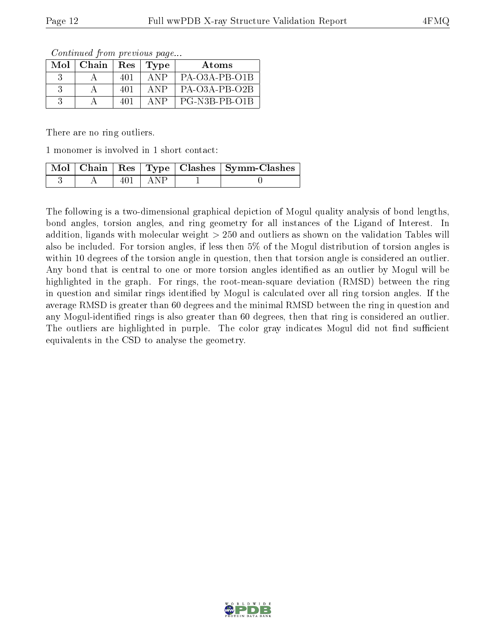| Continued from previous page |  |  |
|------------------------------|--|--|
|                              |  |  |

| Mol | Chain | $\operatorname{Res}$ | Type | Atoms           |
|-----|-------|----------------------|------|-----------------|
|     |       | 401                  | A NP | $PA-O3A-PB-O1B$ |
|     |       | 401                  | A NP | $PA-O3A-PB-O2B$ |
|     |       | 401                  | A NP | PG-N3B-PB-O1B   |

There are no ring outliers.

1 monomer is involved in 1 short contact:

|  |     |         | Mol   Chain   Res   Type   Clashes   Symm-Clashes |
|--|-----|---------|---------------------------------------------------|
|  | 40. | – A N P |                                                   |

The following is a two-dimensional graphical depiction of Mogul quality analysis of bond lengths, bond angles, torsion angles, and ring geometry for all instances of the Ligand of Interest. In addition, ligands with molecular weight > 250 and outliers as shown on the validation Tables will also be included. For torsion angles, if less then 5% of the Mogul distribution of torsion angles is within 10 degrees of the torsion angle in question, then that torsion angle is considered an outlier. Any bond that is central to one or more torsion angles identified as an outlier by Mogul will be highlighted in the graph. For rings, the root-mean-square deviation (RMSD) between the ring in question and similar rings identified by Mogul is calculated over all ring torsion angles. If the average RMSD is greater than 60 degrees and the minimal RMSD between the ring in question and any Mogul-identified rings is also greater than 60 degrees, then that ring is considered an outlier. The outliers are highlighted in purple. The color gray indicates Mogul did not find sufficient equivalents in the CSD to analyse the geometry.

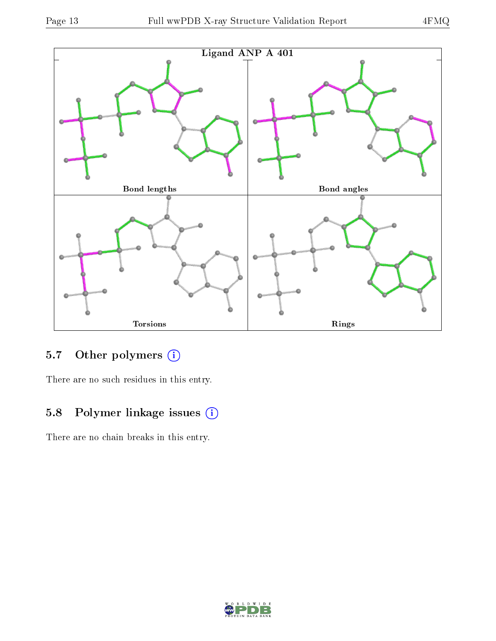

## 5.7 [O](https://www.wwpdb.org/validation/2017/XrayValidationReportHelp#nonstandard_residues_and_ligands)ther polymers (i)

There are no such residues in this entry.

## 5.8 Polymer linkage issues (i)

There are no chain breaks in this entry.

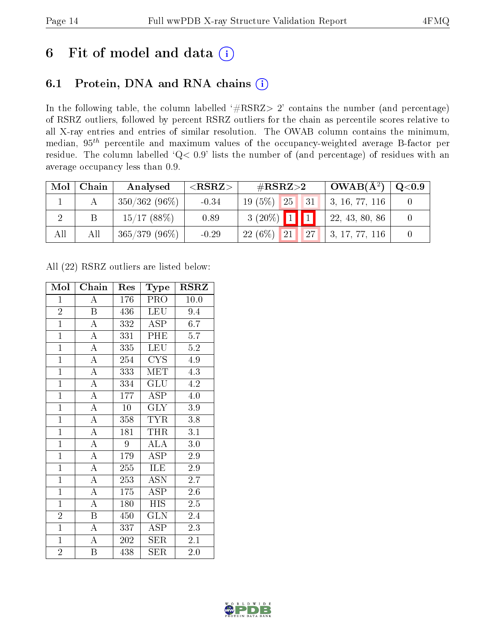## 6 Fit of model and data  $(i)$

## 6.1 Protein, DNA and RNA chains  $(i)$

In the following table, the column labelled  $#RSRZ> 2'$  contains the number (and percentage) of RSRZ outliers, followed by percent RSRZ outliers for the chain as percentile scores relative to all X-ray entries and entries of similar resolution. The OWAB column contains the minimum, median,  $95<sup>th</sup>$  percentile and maximum values of the occupancy-weighted average B-factor per residue. The column labelled ' $Q< 0.9$ ' lists the number of (and percentage) of residues with an average occupancy less than 0.9.

| Mol | Chain | Analysed        | ${ <\hspace{-1.5pt}{\mathrm{RSRZ}} \hspace{-1.5pt}>}$ | $\rm \#RSRZ{>}2$                    | $OWAB(A^2)$                  | $\rm Q\textcolor{black}{<}0.9$ |
|-----|-------|-----------------|-------------------------------------------------------|-------------------------------------|------------------------------|--------------------------------|
|     |       | $350/362(96\%)$ | $-0.34$                                               | 25 <br>$19(5\%)$<br>$\triangle 131$ | $\vert 3, 16, 77, 116 \vert$ |                                |
|     |       | 15/17(88%)      | 0.89                                                  | $3(20\%)$ 1 1                       | 22, 43, 80, 86               |                                |
| All | All   | $365/379(96\%)$ | $-0.29$                                               | $22(6\%)$<br>127<br>21 <sup>1</sup> | $\vert 3, 17, 77, 116 \vert$ |                                |

All (22) RSRZ outliers are listed below:

| Mol            | Chain              | Res | Type                     | <b>RSRZ</b>      |
|----------------|--------------------|-----|--------------------------|------------------|
| $\mathbf{1}$   | Ā                  | 176 | <b>PRO</b>               | 10.0             |
| $\overline{2}$ | $\boldsymbol{B}$   | 436 | <b>LEU</b>               | 9.4              |
| $\overline{1}$ | $\overline{\rm A}$ | 332 | ASP                      | 6.7              |
| $\overline{1}$ | $\overline{\rm A}$ | 331 | PHE                      | 5.7              |
| $\overline{1}$ | $\overline{A}$     | 335 | <b>LEU</b>               | 5.2              |
| $\mathbf{1}$   | $\overline{\rm A}$ | 254 | $CY\overline{S}$         | 4.9              |
| $\overline{1}$ | $\overline{\rm A}$ | 333 | <b>MET</b>               | 4.3              |
| $\overline{1}$ | $\overline{A}$     | 334 | $\mathrm{GL} \mathrm{U}$ | 4.2              |
| $\overline{1}$ | $\overline{\rm A}$ | 177 | ASP                      | 4.0              |
| $\overline{1}$ | $\overline{\rm A}$ | 10  | $\overline{\text{GLY}}$  | $\overline{3.9}$ |
| $\mathbf{1}$   | $\overline{\rm A}$ | 358 | <b>TYR</b>               | 3.8              |
| $\overline{1}$ | $\overline{\rm A}$ | 181 | THR                      | $\overline{3.1}$ |
| $\overline{1}$ | $\overline{A}$     | 9   | <b>ALA</b>               | 3.0              |
| $\mathbf{1}$   | $\overline{\rm A}$ | 179 | ASP                      | 2.9              |
| $\overline{1}$ | $\overline{\rm A}$ | 255 | <b>ILE</b>               | 2.9              |
| $\mathbf{1}$   | $\overline{A}$     | 253 | <b>ASN</b>               | 2.7              |
| $\overline{1}$ | $\overline{\rm A}$ | 175 | $\operatorname{ASP}$     | 2.6              |
| $\mathbf{1}$   | $\boldsymbol{A}$   | 180 | <b>HIS</b>               | $2.5\,$          |
| $\overline{2}$ | $\boldsymbol{B}$   | 450 | <b>GLN</b>               | 2.4              |
| $\overline{1}$ | $\overline{\rm A}$ | 337 | ASP                      | 2.3              |
| $\overline{1}$ | $\overline{\rm A}$ | 202 | <b>SER</b>               | 2.1              |
| $\overline{2}$ | B                  | 438 | ${\rm SER}$              | 2.0              |

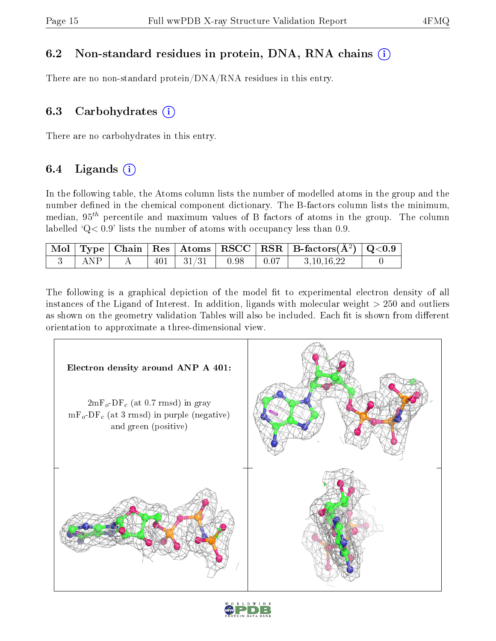### 6.2 Non-standard residues in protein, DNA, RNA chains (i)

There are no non-standard protein/DNA/RNA residues in this entry.

### 6.3 Carbohydrates  $(i)$

There are no carbohydrates in this entry.

### 6.4 Ligands  $(i)$

In the following table, the Atoms column lists the number of modelled atoms in the group and the number defined in the chemical component dictionary. The B-factors column lists the minimum, median,  $95<sup>th</sup>$  percentile and maximum values of B factors of atoms in the group. The column labelled  $Q < 0.9$ ' lists the number of atoms with occupancy less than 0.9.

|     |  |                                   |  | $\boxed{\hbox{ Mol} \mid \hbox{Type} \mid \hbox{Chain} \mid \hbox{Res} \mid \hbox{Atoms} \mid \hbox{RSCC} \mid \hbox{RSR} \mid \hbox{B-factors} (\hbox{A}^2) \mid \hbox{Q<0.9}}$ |  |
|-----|--|-----------------------------------|--|----------------------------------------------------------------------------------------------------------------------------------------------------------------------------------|--|
| ANP |  | $401$   $31/31$   $0.98$   $0.07$ |  | 3,10,16,22                                                                                                                                                                       |  |

The following is a graphical depiction of the model fit to experimental electron density of all instances of the Ligand of Interest. In addition, ligands with molecular weight  $> 250$  and outliers as shown on the geometry validation Tables will also be included. Each fit is shown from different orientation to approximate a three-dimensional view.